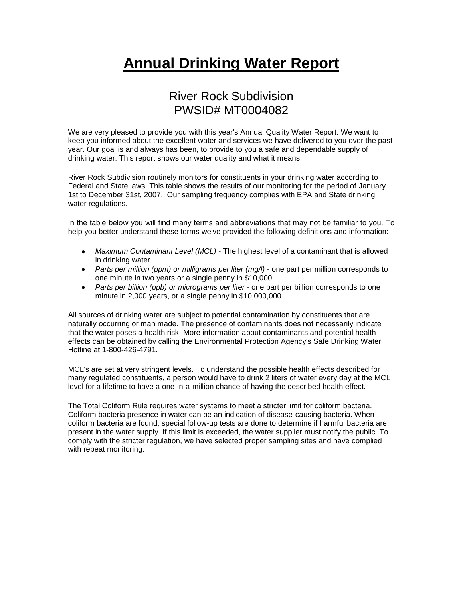## **Annual Drinking Water Report**

## River Rock Subdivision PWSID# MT0004082

We are very pleased to provide you with this year's Annual Quality Water Report. We want to keep you informed about the excellent water and services we have delivered to you over the past year. Our goal is and always has been, to provide to you a safe and dependable supply of drinking water. This report shows our water quality and what it means.

River Rock Subdivision routinely monitors for constituents in your drinking water according to Federal and State laws. This table shows the results of our monitoring for the period of January 1st to December 31st, 2007. Our sampling frequency complies with EPA and State drinking water regulations.

In the table below you will find many terms and abbreviations that may not be familiar to you. To help you better understand these terms we've provided the following definitions and information:

- *Maximum Contaminant Level (MCL) -* The highest level of a contaminant that is allowed in drinking water.
- *Parts per million (ppm) or milligrams per liter (mg/l)* one part per million corresponds to one minute in two years or a single penny in \$10,000.
- *Parts per billion (ppb) or micrograms per liter* one part per billion corresponds to one minute in 2,000 years, or a single penny in \$10,000,000.

All sources of drinking water are subject to potential contamination by constituents that are naturally occurring or man made. The presence of contaminants does not necessarily indicate that the water poses a health risk. More information about contaminants and potential health effects can be obtained by calling the Environmental Protection Agency's Safe Drinking Water Hotline at 1-800-426-4791.

MCL's are set at very stringent levels. To understand the possible health effects described for many regulated constituents, a person would have to drink 2 liters of water every day at the MCL level for a lifetime to have a one-in-a-million chance of having the described health effect.

The Total Coliform Rule requires water systems to meet a stricter limit for coliform bacteria. Coliform bacteria presence in water can be an indication of disease-causing bacteria. When coliform bacteria are found, special follow-up tests are done to determine if harmful bacteria are present in the water supply. If this limit is exceeded, the water supplier must notify the public. To comply with the stricter regulation, we have selected proper sampling sites and have complied with repeat monitoring.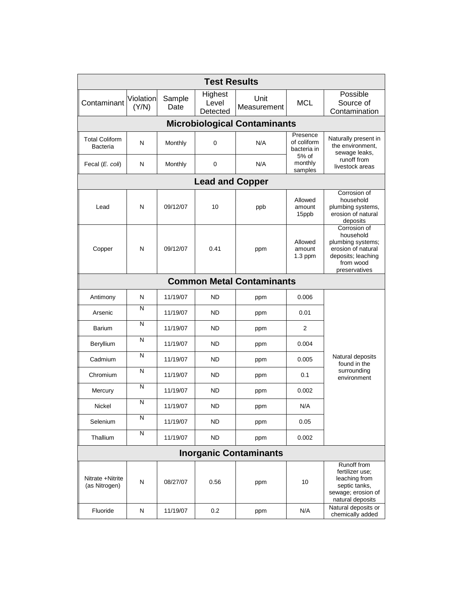| <b>Test Results</b>                      |                    |                |                              |                     |                                                 |                                                                                                                          |  |  |  |  |
|------------------------------------------|--------------------|----------------|------------------------------|---------------------|-------------------------------------------------|--------------------------------------------------------------------------------------------------------------------------|--|--|--|--|
| Contaminant                              | Violation<br>(Y/N) | Sample<br>Date | Highest<br>Level<br>Detected | Unit<br>Measurement | <b>MCL</b>                                      | Possible<br>Source of<br>Contamination                                                                                   |  |  |  |  |
| <b>Microbiological Contaminants</b>      |                    |                |                              |                     |                                                 |                                                                                                                          |  |  |  |  |
| <b>Total Coliform</b><br><b>Bacteria</b> | N                  | Monthly        | 0                            | N/A                 | Presence<br>of coliform<br>bacteria in<br>5% of | Naturally present in<br>the environment,<br>sewage leaks,                                                                |  |  |  |  |
| Fecal (E. coli)                          | N                  | Monthly        | 0                            | N/A                 | monthly<br>samples                              | runoff from<br>livestock areas                                                                                           |  |  |  |  |
| <b>Lead and Copper</b>                   |                    |                |                              |                     |                                                 |                                                                                                                          |  |  |  |  |
| Lead                                     | N                  | 09/12/07       | 10                           | ppb                 | Allowed<br>amount<br>15ppb                      | Corrosion of<br>household<br>plumbing systems,<br>erosion of natural<br>deposits                                         |  |  |  |  |
| Copper                                   | N                  | 09/12/07       | 0.41                         | ppm                 | Allowed<br>amount<br>$1.3$ ppm                  | Corrosion of<br>household<br>plumbing systems;<br>erosion of natural<br>deposits; leaching<br>from wood<br>preservatives |  |  |  |  |
| <b>Common Metal Contaminants</b>         |                    |                |                              |                     |                                                 |                                                                                                                          |  |  |  |  |
| Antimony                                 | N                  | 11/19/07       | <b>ND</b>                    | ppm                 | 0.006                                           |                                                                                                                          |  |  |  |  |
| Arsenic                                  | N                  | 11/19/07       | <b>ND</b>                    | ppm                 | 0.01                                            |                                                                                                                          |  |  |  |  |
| Barium                                   | N                  | 11/19/07       | <b>ND</b>                    | ppm                 | 2                                               |                                                                                                                          |  |  |  |  |
| Beryllium                                | N                  | 11/19/07       | <b>ND</b>                    | ppm                 | 0.004                                           |                                                                                                                          |  |  |  |  |
| Cadmium                                  | N                  | 11/19/07       | <b>ND</b>                    | ppm                 | 0.005                                           | Natural deposits<br>found in the                                                                                         |  |  |  |  |
| Chromium                                 | Ν                  | 11/19/07       | <b>ND</b>                    | ppm                 | 0.1                                             | surrounding<br>environment                                                                                               |  |  |  |  |
| Mercury                                  | N                  | 11/19/07       | ND                           | ppm                 | 0.002                                           |                                                                                                                          |  |  |  |  |
| Nickel                                   | N                  | 11/19/07       | <b>ND</b>                    | ppm                 | N/A                                             |                                                                                                                          |  |  |  |  |
| Selenium                                 | N                  | 11/19/07       | <b>ND</b>                    | ppm                 | 0.05                                            |                                                                                                                          |  |  |  |  |
| Thallium                                 | N                  | 11/19/07       | <b>ND</b>                    | ppm                 | 0.002                                           |                                                                                                                          |  |  |  |  |
| <b>Inorganic Contaminants</b>            |                    |                |                              |                     |                                                 |                                                                                                                          |  |  |  |  |
| Nitrate +Nitrite<br>(as Nitrogen)        | N                  | 08/27/07       | 0.56                         | ppm                 | 10                                              | Runoff from<br>fertilizer use:<br>leaching from<br>septic tanks,<br>sewage; erosion of<br>natural deposits               |  |  |  |  |
| Fluoride                                 | Ν                  | 11/19/07       | 0.2                          | ppm                 | N/A                                             | Natural deposits or<br>chemically added                                                                                  |  |  |  |  |